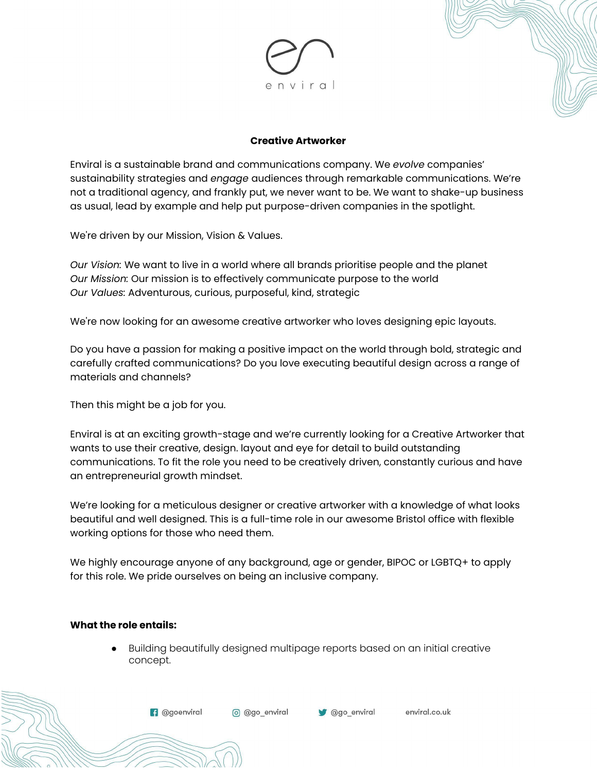

#### **Creative Artworker**

Enviral is a sustainable brand and communications company. We *evolve* companies' sustainability strategies and *engage* audiences through remarkable communications. We're not a traditional agency, and frankly put, we never want to be. We want to shake-up business as usual, lead by example and help put purpose-driven companies in the spotlight.

We're driven by our Mission, Vision & Values.

*Our Vision:* We want to live in a world where all brands prioritise people and the planet *Our Mission:* Our mission is to effectively communicate purpose to the world *Our Values:* Adventurous, curious, purposeful, kind, strategic

We're now looking for an awesome creative artworker who loves designing epic layouts.

Do you have a passion for making a positive impact on the world through bold, strategic and carefully crafted communications? Do you love executing beautiful design across a range of materials and channels?

Then this might be a job for you.

Enviral is at an exciting growth-stage and we're currently looking for a Creative Artworker that wants to use their creative, design. layout and eye for detail to build outstanding communications. To fit the role you need to be creatively driven, constantly curious and have an entrepreneurial growth mindset.

We're looking for a meticulous designer or creative artworker with a knowledge of what looks beautiful and well designed. This is a full-time role in our awesome Bristol office with flexible working options for those who need them.

We highly encourage anyone of any background, age or gender, BIPOC or LGBTQ+ to apply for this role. We pride ourselves on being an inclusive company.

#### **What the role entails:**

● Building beautifully designed multipage reports based on an initial creative concept.

enviral.co.uk

**f** @goenviral o @go\_enviral Ogo\_enviral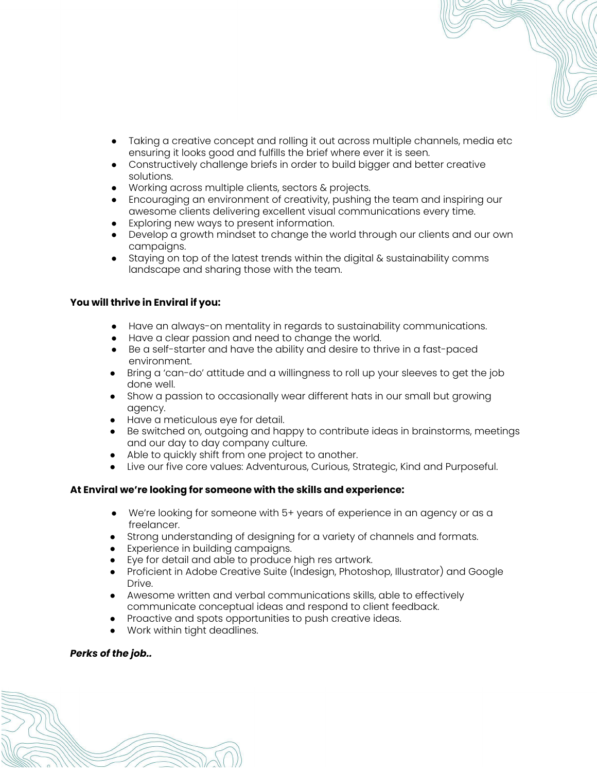- Taking a creative concept and rolling it out across multiple channels, media etc ensuring it looks good and fulfills the brief where ever it is seen.
- Constructively challenge briefs in order to build bigger and better creative solutions.
- Working across multiple clients, sectors & projects.
- Encouraging an environment of creativity, pushing the team and inspiring our awesome clients delivering excellent visual communications every time.
- Exploring new ways to present information.
- Develop a growth mindset to change the world through our clients and our own campaigns.
- Staying on top of the latest trends within the digital & sustainability comms landscape and sharing those with the team.

### **You will thrive in Enviral if you:**

- Have an always-on mentality in regards to sustainability communications.
- Have a clear passion and need to change the world.
- Be a self-starter and have the ability and desire to thrive in a fast-paced environment.
- Bring a 'can-do' attitude and a willingness to roll up your sleeves to get the job done well.
- Show a passion to occasionally wear different hats in our small but growing agency.
- Have a meticulous eye for detail.
- Be switched on, outgoing and happy to contribute ideas in brainstorms, meetings and our day to day company culture.
- Able to quickly shift from one project to another.
- Live our five core values: Adventurous, Curious, Strategic, Kind and Purposeful.

# **At Enviral we're looking for someone with the skills and experience:**

- We're looking for someone with 5+ years of experience in an agency or as a freelancer.
- Strong understanding of designing for a variety of channels and formats.
- Experience in building campaigns.
- Eye for detail and able to produce high res artwork.
- Proficient in Adobe Creative Suite (Indesign, Photoshop, Illustrator) and Google Drive.
- Awesome written and verbal communications skills, able to effectively communicate conceptual ideas and respond to client feedback.
- Proactive and spots opportunities to push creative ideas.
- Work within tight deadlines.

# *Perks of the job..*